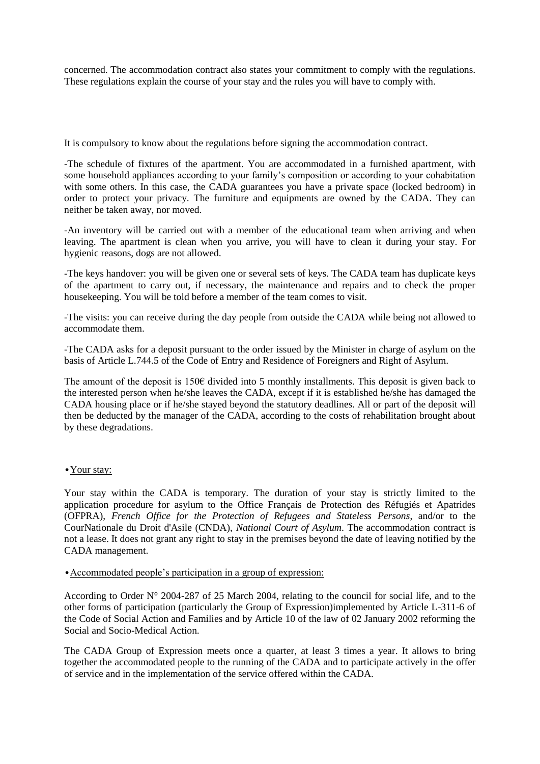concerned. The accommodation contract also states your commitment to comply with the regulations. These regulations explain the course of your stay and the rules you will have to comply with.

It is compulsory to know about the regulations before signing the accommodation contract.

-The schedule of fixtures of the apartment. You are accommodated in a furnished apartment, with some household appliances according to your family's composition or according to your cohabitation with some others. In this case, the CADA guarantees you have a private space (locked bedroom) in order to protect your privacy. The furniture and equipments are owned by the CADA. They can neither be taken away, nor moved.

-An inventory will be carried out with a member of the educational team when arriving and when leaving. The apartment is clean when you arrive, you will have to clean it during your stay. For hygienic reasons, dogs are not allowed.

-The keys handover: you will be given one or several sets of keys. The CADA team has duplicate keys of the apartment to carry out, if necessary, the maintenance and repairs and to check the proper housekeeping. You will be told before a member of the team comes to visit.

-The visits: you can receive during the day people from outside the CADA while being not allowed to accommodate them.

-The CADA asks for a deposit pursuant to the order issued by the Minister in charge of asylum on the basis of Article L.744.5 of the [Code of Entry and Residence of Foreigners and Right of Asylum.](http://www.legifrance.gouv.fr/affichCodeArticle.do;jsessionid=F79FC4944386E3F270EF0000ECA58375.tpdila23v_3?cidTexte=LEGITEXT000006070158&idArticle=LEGIARTI000030952367&dateTexte=&categorieLien=cid)

The amount of the deposit is 150€ divided into 5 monthly installments. This deposit is given back to the interested person when he/she leaves the CADA, except if it is established he/she has damaged the CADA housing place or if he/she stayed beyond the statutory deadlines. All or part of the deposit will then be deducted by the manager of the CADA, according to the costs of rehabilitation brought about by these degradations.

## • Your stay:

Your stay within the CADA is temporary. The duration of your stay is strictly limited to the application procedure for asylum to the Office Français de Protection des Réfugiés et Apatrides (OFPRA), *French Office for the Protection of Refugees and Stateless Persons*, and/or to the CourNationale du Droit d'Asile (CNDA), *National Court of Asylum*. The accommodation contract is not a lease. It does not grant any right to stay in the premises beyond the date of leaving notified by the CADA management.

## •Accommodated people's participation in a group of expression:

According to Order N° 2004-287 of 25 March 2004, relating to the council for social life, and to the other forms of participation (particularly the Group of Expression)implemented by Article L-311-6 of the Code of Social Action and Families and by Article 10 of the law of 02 January 2002 reforming the Social and Socio-Medical Action.

The CADA Group of Expression meets once a quarter, at least 3 times a year. It allows to bring together the accommodated people to the running of the CADA and to participate actively in the offer of service and in the implementation of the service offered within the CADA.